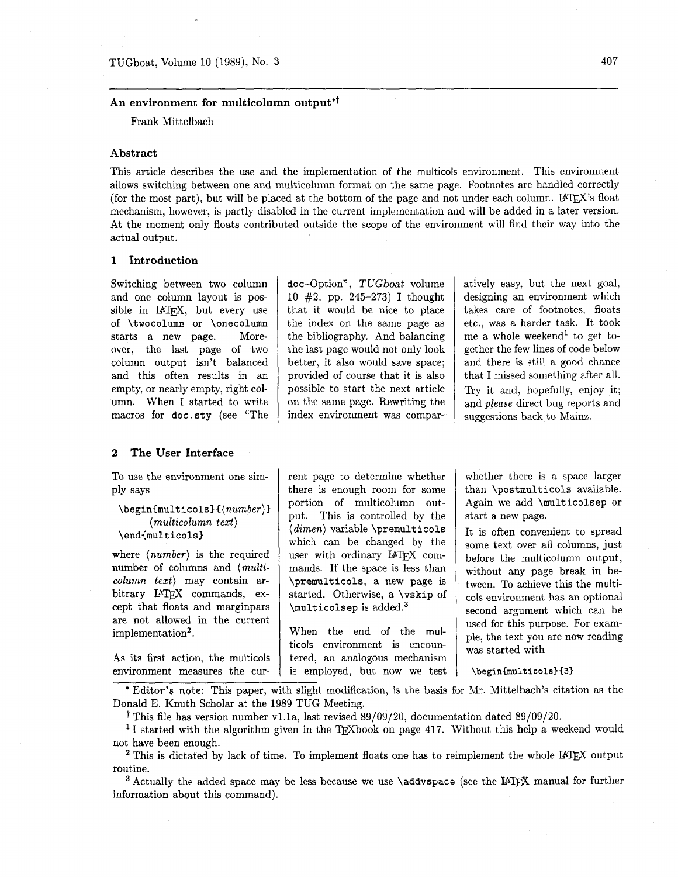# An environment for multicolumn output<sup>\*†</sup>

Frank Mittelbach

# **Abstract**

This article describes the use and the implementation of the multicols environment. This environment allows switching between one and multicolumn format on the same page. Footnotes are handled correctly (for the most part), but will be placed at the bottom of the page and not under each column. LATFX's float mechanism, however, is partly disabled in the current implementation and will be added in a later version. At the moment only floats contributed outside the scope of the environment will find their way into the actual output.

### **1 Introduction**

Switching between two column and one column layout is possible in IATEX, but every use of \twocolumn or \onecolumn starts a new page. Moreover, the last page of two column output isn't balanced and this often results in an empty, or nearly empty, right column. When I started to write macros for doc. sty (see "The doc-Option". TUGboat volume 10 **#2,** pp. 245-273) I thought that it would be nice to place the index on the same page as the bibliography. And balancing the last page would not only look better, it also would save space; provided of course that it is also possible to start the next article on the same page. Rewriting the index environment was comparatively easy, but the next goal, designing an environment which takes care of footnotes, floats etc., was a harder task. It took me a whole weekend<sup>1</sup> to get together the few lines of code below and there is still a good chance that I missed something after all. Try it and, hopefully, enjoy it; and *please* direct bug reports and suggestions back to Mainz.

## **2 The User Interface**

To use the environment one simply says

\begin{multicols}{(number)} *(multicolumn text)*   $\end{math}$ 

where *(number)* is the required number of columns and *(multicolumn text)* may contain arbitrary IATFX commands, except that floats and marginpars are not allowed in the current implementation<sup>2</sup>.

As its first action, the multicols environment measures the current page to determine whether there is enough room for some portion of multicolumn output. This is controlled by the *(dimen)* variable \premulticols which can be changed by the user with ordinary IATFX commands. If the space is less than \premulticols, a new page is started. Otherwise, a \vskip of \multicolsep is added.3

When the end of the multicols environment is encountered, an analogous mechanism is employed, but now we test

whether there is a space larger than \postmulticols available. Again we add \multicolsep or start a new page.

It is often convenient to spread some text over all columns, just before the multicolumn output, without any page break in between. To achieve this the multicols environment has an optional second argument which can be used for this purpose. For example, the text you are now reading was started with

\begin{multicols}{3}

\* Editor's note: This paper, with slight modification, is the basis for Mr. Mittelbach's citation as the Donald E. Knuth Scholar at the 1989 TUG Meeting.

t This file has version number vl.la, last revised 89/09/20, documentation dated 89/09/20.

<sup>1</sup>I started with the algorithm given in the T<sub>E</sub>Xbook on page 417. Without this help a weekend would not have been enough.

 $2$  This is dictated by lack of time. To implement floats one has to reimplement the whole IATEX output routine.

 $3$  Actually the added space may be less because we use  $\addvspace{1mm}$  (see the LAT<sub>EX</sub> manual for further information about this command).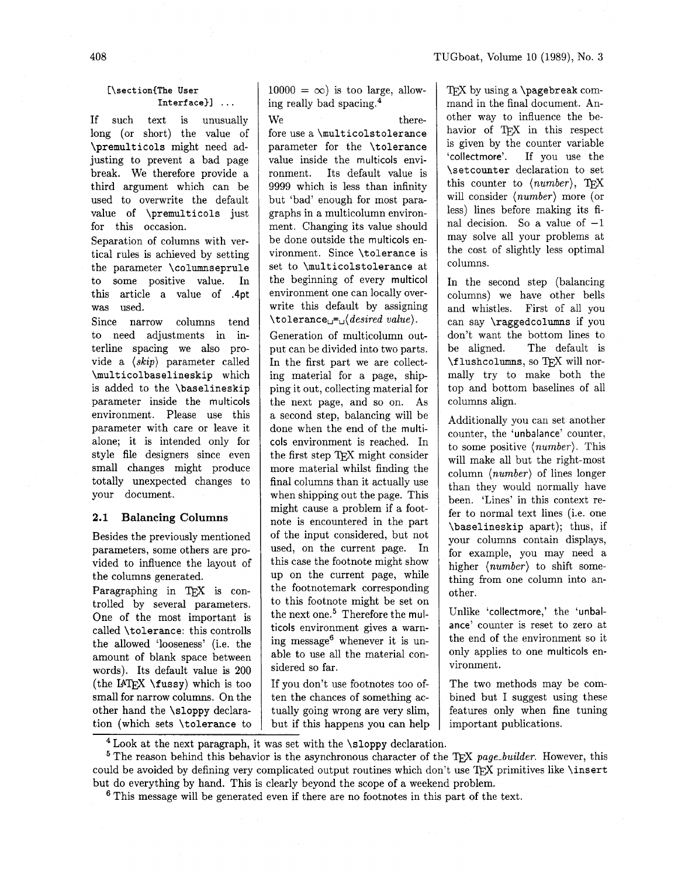## **[\section{The User Interface)]** . . .

If such text is unusually long (or short) the value of \premulticols might need adjusting to prevent a bad page break. We therefore provide a third argument which can be used to overwrite the default value of \premulticols just for this occasion.

Separation of columns with vertical rules is achieved by setting the parameter \columnseprule to some positive value. In this article a value of .4pt was used.

Since narrow columns tend to need adjustments in interline spacing we also provide a (skip) parameter called \multicolbaselineskip which is added to the \baselineskip parameter inside the multicols environment. Please use this parameter with care or leave it alone; it is intended only for style file designers since even small changes might produce totally unexpected changes to your document.

### **2.1 Balancing Columns**

Besides the previously mentioned parameters, some others are provided to influence the layout of the columns generated.

Paragraphing in TFX is controlled by several parameters. One of the most important is called \tolerance: this controlls the allowed 'looseness' (i.e. the amount of blank space between words). Its default value is **200**  (the IAT<sub>F</sub>X  $\text{tussy}$ ) which is too small for narrow columns. On the other hand the \sloppy declaration (which sets \tolerance to  $10000 = \infty$ ) is too large, allowing really bad spacing. $4$ 

 $We$  therefore use a \multicolstolerance parameter for the \tolerance value inside the multicols environment. Its default value is 9999 which is less than infinity but 'bad' enough for most paragraphs in a multicolumn environment. Changing its value should be done outside the multicols environment. Since \tolerance is set to \multicolstolerance at the beginning of every multicol environment one can locally overwrite this default by assigning  $\setminus$ tolerance $_{\square}$ = $_{\square}$  $\langle desired \ value \rangle$ .

Generation of multicolumn output can be divided into two parts. In the first part we are collecting material for a page, shipping it out, collecting material for the next page, and so on. As a second step, balancing will be done when the end of the multicols environment is reached. In the first step TFX might consider more material whilst finding the final columns than it actually use when shipping out the page. This might cause a problem if a footnote is encountered in the part of the input considered, but not used, on the current page. In this case the footnote might show up on the current page, while the footnotemark corresponding to this footnote might be set on the next one.<sup>5</sup> Therefore the multicols environment gives a warning message6 whenever it is unable to use all the material considered so far.

If you don't use footnotes too often the chances of something actually going wrong are very slim, but if this happens you can help

TEX by using a \pagebreak command in the final document. Another way to influence the behavior of TFX in this respect is given by the counter variable 'collectmore'. If you use the \setcounter declaration to set this counter to  $\langle number \rangle$ , TEX will consider (number) more (or less) lines before making its final decision. So a value of  $-1$ may solve all your problems at the cost of slightly less optimal columns.

In the second step (balancing columns) we have other bells and whistles. First of all you can say \raggedcolumns if you don't want the bottom lines to be aligned. The default is \f lushcolumns, so TFX will normally try to make both the top and bottom baselines of all columns align.

Additionally you can set another counter, the 'unbalance' counter, to some positive (number). This will make all but the right-most column (number) of lines longer than they would normally have been. 'Lines' in this context refer to normal text lines (i.e. one \baselineskip apart); thus, if your columns contain displays, for example, you may need a higher (number) to shift something from one column into another.

Unlike 'collectmore,' the 'unbalance' counter is reset to zero at the end of the environment so it only applies to one multicols environment.

The two methods may be combined but I suggest using these features only when fine tuning important publications.

<sup>5</sup> The reason behind this behavior is the asynchronous character of the T<sub>F</sub>X *page-builder*. However, this could be avoided by defining very complicated output routines which don't use TEX primitives like \insert but do everything by hand. This is clearly beyond the scope of a weekend problem.

This message will be generated even if there are no footnotes in this part of the text.

 $4$  Look at the next paragraph, it was set with the \sloppy declaration.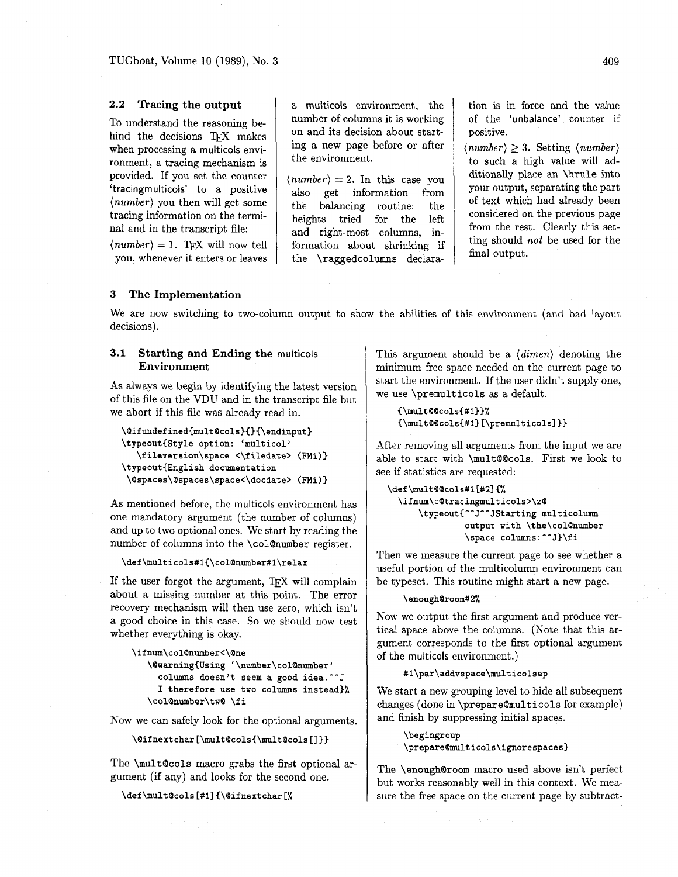## **2.2 Tracing the output**

To understand the reasoning behind the decisions TFX makes when processing a multicols environment, a tracing mechanism is provided. If you set the counter 'tracingmulticols' to a positive *(number)* you then will get some tracing information on the terminal and in the transcript file:

 $\langle number \rangle = 1$ . TFX will now tell you, whenever it enters or leaves

a multicols environment, the number of columns it is working on and its decision about starting a new page before or after the environment.

 $\langle number \rangle = 2$ . In this case you also get information from the balancing routine: the heights tried for the left and right-most columns, information about shrinking if the \raggedcolumns declaration is in force and the value of the 'unbalance' counter if positive.

 $\langle number \rangle \geq 3$ . Setting  $\langle number \rangle$ to such a high value will additionally place an \hrule into your output, separating the part of text which had already been considered on the previous page from the rest. Clearly this setting should *not* be used for the final output.

# **3 The Implementation**

We are now switching to two-column output to show the abilities of this environment (and bad layout decisions).

# **3.1 Starting and Ending the** multicols **Environment**

As always we begin by identifying the latest version of this file on the VDU and in the transcript file but we abort if this file was already read in.

```
\@ifundef ined{mult@cols){){\endinput) 
\typeout{~tyle option: 'multicol ' 
   \fileversion\space <\filedate> (FMi)}
\typeout{~nglish document at ion 
 \@spa~es\@spaces\s~ace<\docdate> (FMi))
```
As mentioned before, the multicols environment has one mandatory argument (the number of columns) and up to two optional ones. We start by reading the number of columns into the \colOnumber register.

### \def\multicols#1{\col@number#1\relax

If the user forgot the argument, TFX will complain about a missing number at this point. The error recovery mechanism will then use zero, which isn't a good choice in this case. So we should now test whether everything is okay.

```
\if num\col@number<\@ne 
   \@uaming{Using '\number\col@number' 
     columns doesn't seem a good idea.^^J 
     I therefore use two columns instead)% 
   \colQnumber\tw@ \f i
```
Now we can safely look for the optional arguments.

```
\@ifnextchar [\mult@cols{\mult@cols [I ))
```
The \multQcols macro grabs the first optional argument (if any) and looks for the second one.

## \def\mult@cols[#1]{\@ifnextchar[%]

This argument should be a *(dimen)* denoting the minimum free space needed on the current page to start the environment. If the user didn't supply one, we use \premulticols as a default.

**~\mult@@cols{#l))% €\mult@@colsI#l~ [\premulticolsl** ))

After removing all arguments from the input we are able to start with \mult@cols. First we look to see if statistics are requested:

```
\def \multQ~cols#I[#21 C% 
  \ifnum\c@tracingmulticols>\z@ 
      \typeout{^^J^^JStarting multicolumn 
                output with \the\col@number
                \space columns : ^^J}\f i
```
Then we measure the current page to see whether a useful portion of the multicolumn environment can be typeset. This routine might start a new page.

#### **\enough@room#2%**

Now we output the first argument and produce vertical space above the columns. (Note that this argument corresponds to the first optional argument of the multicols environment.)

### #1\par\addvspace\multicolsep

We start a new grouping level to hide all subsequent changes (done in \prepare@multicols for example) and finish by suppressing initial spaces.

```
\begingroup
\prepare@multicols\ignorespaces}
```
The \enoughQroom macro used above isn't perfect but works reasonably well in this context. We measure the free space on the current page by subtract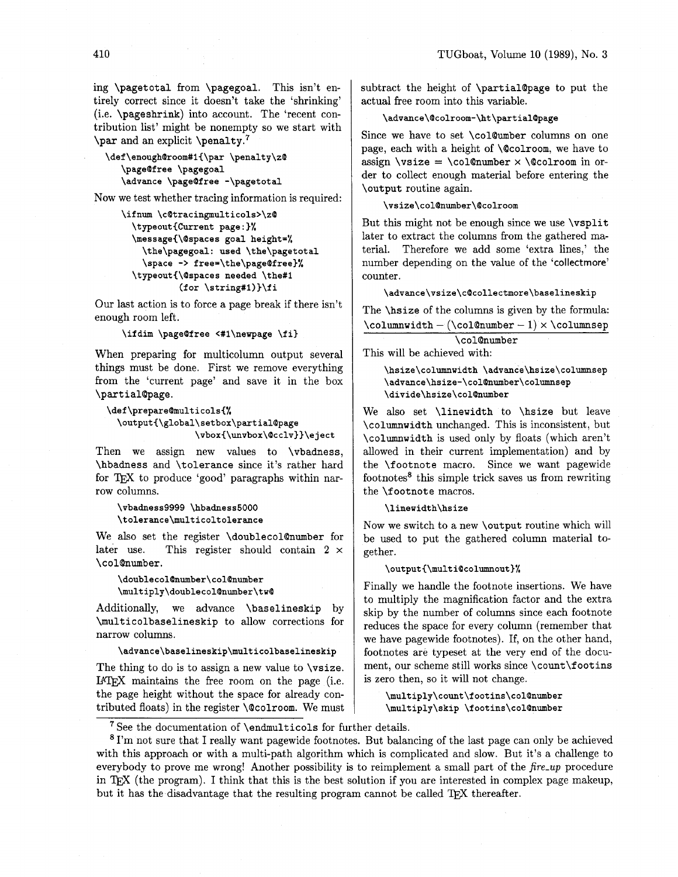ing \pagetotal from \pagegoal. This isn't entirely correct since it doesn't take the 'shrinking' (i.e. \pageshrink) into account. The 'recent contribution list' might be nonempty so we start with \par and an explicit \penalty.7

```
\def \enough@room#l{\par \penalty\z@ 
   \page@f ree \pagegoal 
   \advance \page@free -\pagetotal
```
Now we test whether tracing information is required:

```
\ifnum \c@tracingmulticols>\z@ 
  \typeout{Current page:)% 
  \message{\@spaces goal height=% 
    \the\pagegoal: used \the\pagetotal 
    \space -> free=\the\page@free)% 
  \typeout{\@spaces needed \the#l 
           (for \string#l))\f i
```
Our last action is to force a page break if there isn't enough room left.

```
\ifdim \page@free <#1\newpage \fi}
```
When preparing for multicolumn output several things must be done. First we remove everything from the 'current page' and save it in the box \part ialQpage.

```
\def\prepare@multicols{%
 \output{\global\setbox\partial@page
                 \vbox{\unvbox\@cclv}}\eject
```
Then we assign new values to \vbadness, \hbadness and \tolerance since it's rather hard for TFX to produce 'good' paragraphs within narrow columns.

\vbadness9999 \hbadness5000 \tolerance\multicoltolerance

We also set the register \doublecol@number for later use. This register should contain **2** x \colQnumber.

```
\doublecol@number\col@number
\multiply\doublecol@number\tw@
```
Additionally, we advance \baselineskip by \multicolbaselineskip to allow corrections for narrow columns.

 $\verb|\advance\baselineskip\\multicolbaselineskip|$ 

The thing to do is to assign a new value to **\vsize**. IATEX maintains the free room on the page (i.e. the page height without the space for already contributed floats) in the register \Qcolroom. We must subtract the height of \partial@page to put the actual free room into this variable.

# \advance\@colroom-\ht\partial@page

Since we have to set \colQumber columns on one page, each with a height of \Qcolroom, we have to assign \vsize = \col@number  $\times$  \@colroom in order to collect enough material before entering the \output routine again.

### \vsize\col@number\@colroom

But this might not be enough since we use \vsplit later to extract the columns fiom the gathered material. Therefore we add some 'extra lines,' the number depending on the value of the 'collectmore' counter.

\advance\vsize\c@collectmore\baselineskip

The \hsize of the columns is given by the formula:  $\columnwidth - (\colon\text{Coll@number} - 1) \times \colon\text{Coll@number}$ 

| \col@number |  |
|-------------|--|
|             |  |

This will be achieved with:

\hsize\columnwidth \advance\hsize\columnsep \advance\hsize-\col@number\columnsep \divide\hsize\col@number

We also set \linewidth to \hsize but leave \columnwidth unchanged. This is inconsistent, but \columnwidth is used only by floats (which aren't allowed in their current implementation) and by the \footnote macro. Since we want pagewide footnotes8 this simple trick saves us from rewriting the \footnote macros.

\linewidth\hsize

Now we switch to a new \output routine which will be used to put the gathered column material together.

### \output{\multi@columnout}%

Finally we handle the footnote insertions. We have to multiply the magnification factor and the extra skip by the number of columns since each footnote reduces the space for every column (remember that we have pagewide footnotes). If, on the other hand, footnotes are typeset at the very end of the document, our scheme still works since \count\footins is zero then, so it will not change.

\multiply\count\footins\col@number \multiply\skip \footins\col@number

 $7$  See the documentation of \endmulticols for further details.

I'm not sure that I really want pagewide footnotes. But balancing of the last page can only be achieved with this approach or with a multi-path algorithm which is complicated and slow. But it's a challenge to everybody to prove me wrong! Another possibility is to reimplement a small part of the *fire-up* procedure in TEX (the program). I think that this is the best solution if you are interested in complex page makeup, but it has the disadvantage that the resulting program cannot be called TFX thereafter.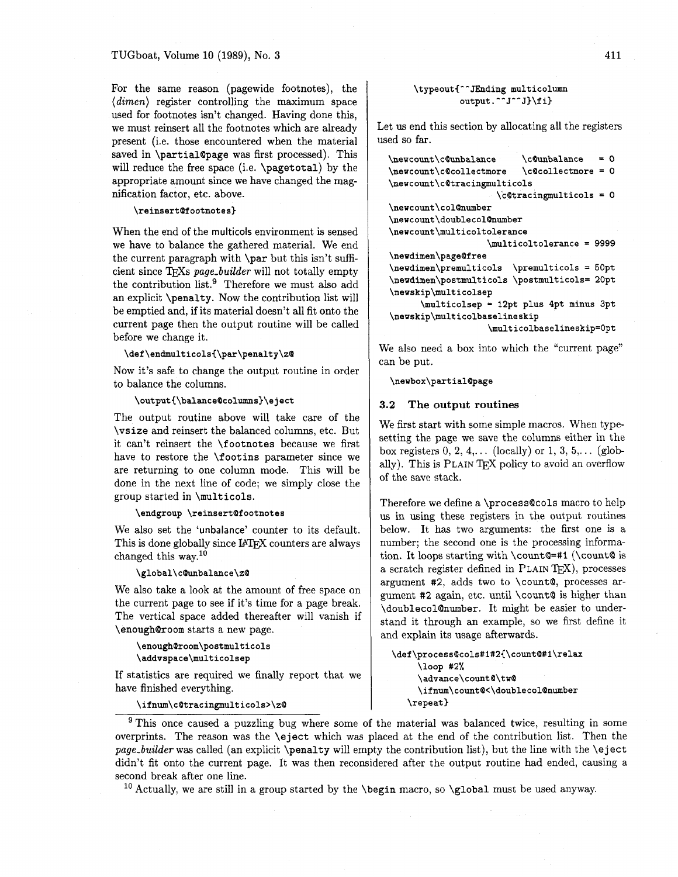For the same reason (pagewide footnotes), the *(dimen)* register controlling the maximum space used for footnotes isn't changed. Having done this, we must reinsert all the footnotes which are already present (i.e. those encountered when the material saved in \partial@page was first processed). This will reduce the free space (i.e. \pagetotal) by the appropriate amount since we have changed the magnification factor, etc. above.

#### **\reinsert@f ootnotes}**

When the end of the multicols environment is sensed we have to balance the gathered material. We end the current paragraph with \par but this isn't sufficient since TFXs page\_builder will not totally empty the contribution list.<sup>9</sup> Therefore we must also add an explicit \penalty. Now the contribution list will be emptied and, if its material doesn't all fit onto the current page then the output routine will be called before we change it.

\def\endmulticols{\par\penalty\z@

Now it's safe to change the output routine in order to balance the columns.

**\output{\balance@columns}\e ject** 

The output routine above will take care of the \vsize and reinsert the balanced columns, etc. But it can't reinsert the \footnotes because we first have to restore the \foot ins parameter since we are returning to one column mode. This will be done in the next line of code; we simply close the group started in \multicols.

**\endgroup \reinsert@f ootnotes** 

We also set the 'unbalance' counter to its default. This is done globally since IATEX counters are always changed this way. $10$ 

\global\c@unbalance\z@

We also take a look at the amount of free space on the current page to see if it's time for a page break. The vertical space added thereafter will vanish if \enough@room starts a new page.

```
\enough@room\postmulticols
\addvspace\multicolsep
```
If statistics are required we finally report that we have finished everything.

\ifnum\c@tracingmulticols>\z@

## \typeout{^^JEnding multicolumn output.^^J^^J}\fi}

Let us end this section by allocating all the registers used so far.

| \c@unbalance<br>= ດ                          |  |  |  |  |
|----------------------------------------------|--|--|--|--|
| \c@collectmore = 0                           |  |  |  |  |
| \newcount\c@tracingmulticols                 |  |  |  |  |
| $\c{ctracing}$ multicols = 0                 |  |  |  |  |
|                                              |  |  |  |  |
| \newcount\doublecol@number                   |  |  |  |  |
| \newcount\multicoltolerance                  |  |  |  |  |
| \multicoltolerance = 9999                    |  |  |  |  |
|                                              |  |  |  |  |
| \newdimen\premulticols \premulticols = 50pt  |  |  |  |  |
| \newdimen\postmulticols \postmulticols= 20pt |  |  |  |  |
|                                              |  |  |  |  |
| \multicolsep = 12pt plus 4pt minus 3pt       |  |  |  |  |
| \newskip\multicolbaselineskip                |  |  |  |  |
| \multicolbaselineskip=0pt                    |  |  |  |  |
|                                              |  |  |  |  |

We also need a box into which the "current page" can be put.

\newbox\partial@page

### **3.2 The output routines**

We first start with some simple macros. When typesetting the page we save the columns either in the box registers  $0, 2, 4, \ldots$  (locally) or  $1, 3, 5, \ldots$  (globally). This is PLAIN TFX policy to avoid an overflow of the save stack.

Therefore we define a \process@cols macro to help us in using these registers in the output routines below. It has two arguments: the first one is a number; the second one is the processing information. It loops starting with  $\count@=#1$  ( $\count@$  is a scratch register defined in PLAIN T<sub>F</sub>X), processes argument **#2,** adds two to \count@, processes argument **#2** again, etc. until \count@ is higher than \doublecol@number. It might be easier to understand it through an example, so we first define it and explain its usage afterwards.

\def\process@cols#1#2{\count@#1\relax \loop #2% \advance\count@\tw@ \ifnum\count@<\doublecol@number \repeat}

<sup>9</sup> This once caused a puzzling bug where some of the material was balanced twice, resulting in some overprints. The reason was the \eject which was placed at the end of the contribution list. Then the *page-builder* was called (an explicit \penalty will empty the contribution list), but the line with the \eject didn't fit onto the current page. It was then reconsidered after the output routine had ended, causing a second break after one line.

<sup>10</sup> Actually, we are still in a group started by the *\begin macro*, so *\global must be used anyway*.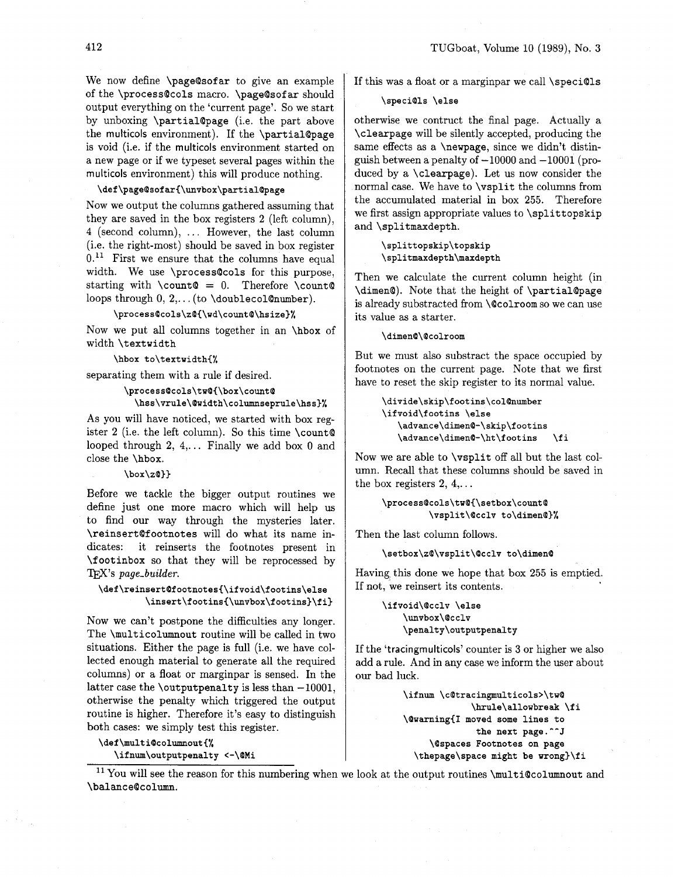We now define \pageQsofar to give an example of the \process@cols macro. \page@sof ar should output everything on the 'current page'. So we start by unboxing \partialQpage (i.e. the part above the multicols environment). If the \partialQpage is void (i.e. if the multicols environment started on a new page or if we typeset several pages within the multicols environment) this will produce nothing.

# **\def \page@sof ar(\unvbox\partial@page**

Now we output the columns gathered assuming that they are saved in the box registers 2 (left column), 4 (second column), ... However, the last column (i.e. the right-most) should be saved in box register  $0<sup>11</sup>$  First we ensure that the columns have equal width. We use \process@cols for this purpose, starting with  $\count@ = 0$ . Therefore  $\count@$ loops through  $0, 2, \ldots$  (to \doublecol@number).

\process@cols\z@{\wd\count@\hsize}%

Now we put all columns together in an \hbox of width \textwidth

**\hbox to\textwidth(%** 

separating them with a rule if desired.

## **\process@cols\tw@~\box\count@**

**\hss\vrule\@width\columnseprule\hss}%** 

As you will have noticed, we started with box register 2 (i.e. the left column). So this time \count@ looped through 2,  $4, \ldots$  Finally we add box 0 and close the \hbox.

## **\box\z@l}**

Before we tackle the bigger output routines we define just one more macro which will help us to find our way through the mysteries later. \reinsertQfootnotes will do what its name indicates: it reinserts the footnotes present in \footinbox so that they will be reprocessed by TFX's page\_builder.

## \def\reinsert@footnotes{\ifvoid\footins\else \insert\footins{\unvbox\footins}\fi}

Now we can't postpone the difficulties any longer. The \multicolumnout routine will be called in two situations. Either the page is full (i.e. we have collected enough material to generate all the required columns) or a float or marginpar is sensed. In the latter case the \outputpenalty is less than  $-10001$ , otherwise the penalty which triggered the output routine is higher. Therefore it's easy to distinguish both cases: we simply test this register.

**\def \multi@columnout(% \ifnum\outputpenalty <-\@Mi** 

If this was a float or a marginpar we call \speci@ls

## \speci@ls \else

otherwise we contruct the final page. Actually a \clearpage will be silently accepted, producing the same effects as a \newpage, since we didn't distinguish between a penalty of  $-10000$  and  $-10001$  (produced by a \clearpage). Let us now consider the normal case. We have to \vsplit the columns from the accumulated material in box 255. Therefore we first assign appropriate values to \splittopskip and \splitmaxdepth.

> \splittopskip\topskip \splitmaxdepth\maxdepth

Then we calculate the current column height (in \dimen@). Note that the height of \partial@page is already substracted from \Qcolroom so we can use its value as a starter.

\dimen@\@colroom

But we must also substract the space occupied by footnotes on the current page. Note that we first have to reset the skip register to its normal value.

```
\divide\skip\footins\colQnumber 
\ifvoid\footins \else 
   \advance\dimen@-\skip\footins 
   \advance\dimen@-\ht\f ootins \f i
```
Now we are able to \vsplit off all but the last column. Recall that these columns should be saved in the box registers  $2, 4, \ldots$ 

```
\process@cols\tw@{\setbox\count@
         \vsplit\@cclv to\dimen@}%
```
Then the last column follows.

\setbox\z@\vsplit\@cclv to\dimen@

Having this done we hope that box 255 is emptied. If not, we reinsert its contents.

> \ifvoid\@cclv \else \unvbox\@cclv \penalty\outputpenalty

If the 'tracingrnulticols' counter is **3** or higher we also add a rule. And in any case we inform the user about our bad luck.

> **\ifnum \c@tracingmulticols>\tu@ \hrule\alloubreak \fi \@warning(I moved some lines to the next page.--J \@spaces Footnotes on page \thepage\space might be wrong}\fi**

 $11$  You will see the reason for this numbering when we look at the output routines \multi@columnout and \balance@column.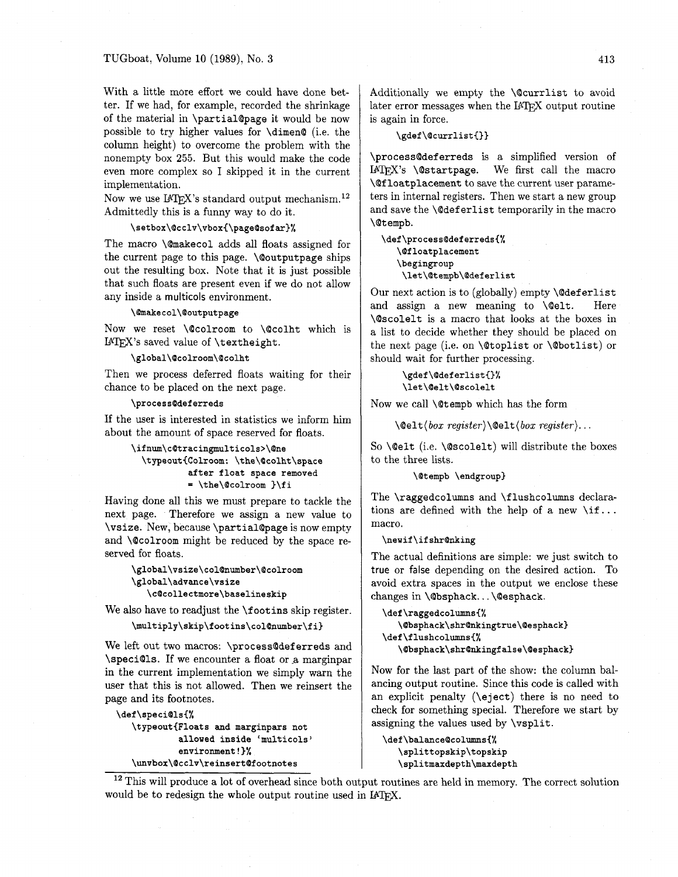With a little more effort we could have done better. If we had, for example, recorded the shrinkage of the material in **\partial@page** it would be now possible to try higher values for **\dimen@** (i.e. the column height) to overcome the problem with the nonempty box **255.** But this would make the code even more complex so I skipped it in the current implementation.

Now we use  $L^2E^X$ 's standard output mechanism.<sup>12</sup> Admittedly this is a funny way to do it.

# \setbox\@cclv\vbox{\page@sofar}%

The macro **\Qmakecol** adds all floats assigned for the current page to this page. **\@outputpage** ships out the resulting box. Note that it is just possible that such floats are present even if we do not allow any inside a multicols environment.

### \@makecol\@outputpage

Now we reset **\@colroom** to **\@colht** which is UW's saved value of **\textheight.** 

\global\@colroom\@colht

Then we process deferred floats waiting for their chance to be placed on the next page.

## \process@deferreds

If the user is interested in statistics we inform him about the amount of space reserved for floats.

> **\ifnm\cQtracingmulticols>\Qne \typeout{Colroom: \the\Qcolht\space after float space removed**  = **\the\Qcolroom )\fi**

Having done all this we must prepare to tackle the next page. Therefore we assign a new value to **\vsize.** New, because **\partialQpage** is now empty and **\@colroom** might be reduced by the space reserved for floats.

```
\global\vsize\col@number\@colroom
\global\advance\vsize
```
\c@collectmore\baselineskip

We also have to readjust the **\f ootins** skip register.

```
\multiply\skip\footins\col@number\fi}
```
We left out two macros: **\processQdef erreds** and **\speciQls.** If we encounter a float or a marginpar in the current implementation we simply warn the user that this is not allowed. Then we reinsert the page and its footnotes.

**\def\speci@ls{% \typeout{Floats and marginpars not**  allowed inside 'multicols' **environment!}% \unvbox\Qcclv\reinsert@footnotes** 

Additionally we empty the **\Qcurrlist** to avoid later error messages when the IATFX output routine is again in force.

\gdef\@currlist{}}

**\processQdef erreds** is a simplified version of IAT<sub>F</sub>X's **\@startpage.** We first call the macro **\Qf loatplacement** to save the current user parameters in internal registers. Then we start a new group and save the **\@def erlist** temporarily in the macro **\Qtempb.** 

**\def\processQdeferreds{% \Qf loatplacement \begingroup \let\Qtempb\Qdeferlist** 

Our next action is to (globally) empty **\Qdef erlist**  and assign a new meaning to **\Qelt.** Here **\Qscolelt** is a macro that looks at the boxes in a list to decide whether they should be placed on the next page (i.e. on **\@toplist** or **\@botlist)** or should wait for further processing.

## \gdef\@deferlist{}% \let\@elt\@scolelt

Now we call **\Qtempb** which has the form

**\Qelt (box register)\@elt (box register).** . .

So **\Qelt** (i.e. **\@scolelt)** will distribute the boxes to the three lists.

\@tempb \endgroup}

The **\raggedcolumns** and **\f lushcolumns** declarations are defined with the help of a new **\if.** . . macro.

### \newif\ifshr@nking

The actual definitions are simple: we just switch to true or false depending on the desired action. To avoid extra spaces in the output we enclose these changes in **\Qbsphack..** . **\@esphack.** 

```
\def\raggedcolumns{%
   \@bsphack\shr@nkingtrue\@esphack}
\def\flushcolumns{%
   \@bsphack\shr@nkingfalse\@esphack}
```
Now for the last part of the show: the column balancing output routine. Since this code is called with an explicit penalty **(\eject)** there is no need to check for something special. Therefore we start by assigning the values used by **\vsplit.** 

\def\balance@columns{% \splittopskip\topskip \splitmaxdepth\maxdepth

<sup>12</sup> This will produce a lot of overhead since both output routines are held in memory. The correct solution would be to redesign the whole output routine used in IATFX.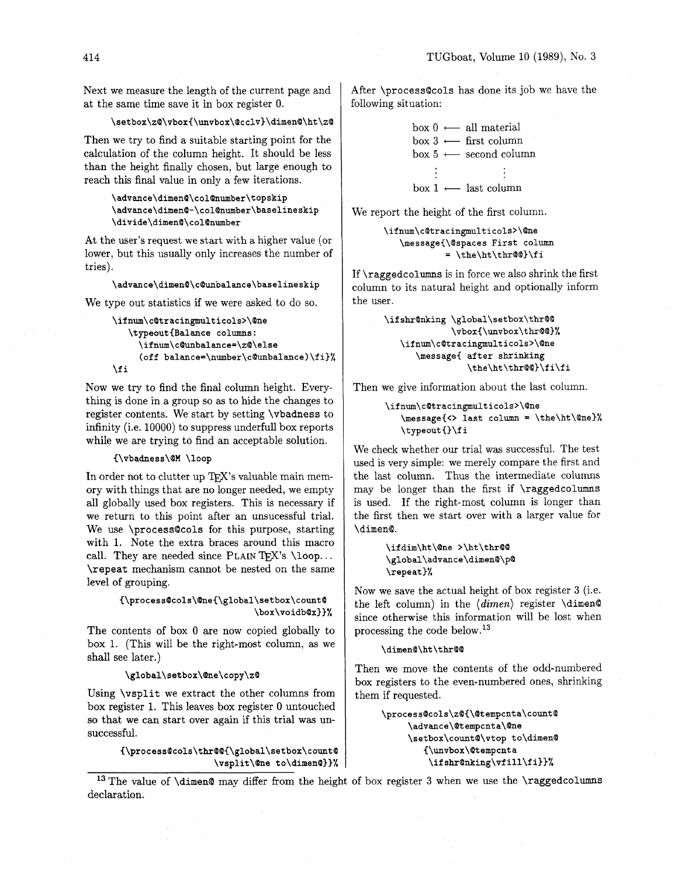Next we measure the length of the current page and at the same time save it in box register 0.

## \setbox\z@\vbox{\unvbox\@cc1v}\dimen@\ht\z@

Then we try to find a suitable starting point for the calculation of the column height. It should be less than the height finally chosen, but large enough to reach this final value in only a few iterations.

> \advance\dimen@\col@number\topskip \advance\dimen@-\col@number\baselineskip \divide\dimen@\col@number

At the user's request we start with a higher value (or lower, but this usually only increases the number of tries).

## \advance\dimen@\c@unpalance\baselineskip

We type out statistics if we were asked to do so.

```
\if num\c@tracingmulticols>\@ne 
   \typeout{Balance columns: 
     \if num\c@unbalance=\zQ\else 
     (off balance=\number\cOunbalance)\fi}% 
\fi
```
Now we try to find the final column height. Everything is done in a group so as to hide the changes to register contents. We start by setting **\vbadness** to infinity (i.e. 10000) to suppress underfull box reports while we are trying to find an acceptable solution.

## {\vbadness\@M \loop

In order not to clutter up TFX's valuable main memory with things that are no longer needed, we empty all globally used box registers. This is necessary if we return to this point after an unsucessful trial. We use **\process@cols** for this purpose, starting with 1. Note the extra braces around this macro call. They are needed since PLAIN TFX's **\loop... \repeat** mechanism cannot be nested on the same level of grouping.

> {\process@cols\@ne{\global\setbox\count@ \box\voidb@x}}%

The contents of box 0 are now copied globally to box 1. (This will be the right-most column, as we shall see later.)

## \global\setbox\@ne\copy\z@

Using **\vsplit** we extract the other columns from box register 1. This leaves box register 0 untouched so that we can start over again if this trial was unsuccessful.

> $\verb|{\process@cols\thr@@{\global\setminus setbox\centerdot@|}$ \vsplit\@ne to\dimen@}}%

After **\process@cols** has done its job we have the following situation:

```
\begin{aligned} & \texttt{ss@cos} \text{ has done its j} \ & \text{hation:} \ & \text{box 0} \longleftarrow \text{ all material} \ & \text{box 3} \longleftarrow \text{first column} \end{aligned}\begin{array}{lcl} \text{box 0} & \longleftarrow & \text{all material} \ \text{box 3} & \longleftarrow & \text{first column} \ \text{box 5} & \longleftarrow & \text{second column} \end{array}box 0 \leftarrow all material<br>box 3 \leftarrow first column<br>box 5 \leftarrow second column
 \begin{align*}\n\begin{aligned}\n\text{box 5} &\longleftarrow \text{second column} \\
\vdots &\qquad \vdots \\
\text{box 1} &\longleftarrow \text{last column}\n\end{aligned}\n\end{align*}
```
We report the height of the first column.

```
\ifnum\c@tracingmulticols>\@ne 
   \message{\Qspaces First column 
            = \the\ht\thr@@)\fi
```
If **\raggedcolumns** is in force we also shrink the first column to its natural height and optionally inform the user.

```
\ifshr@nking \global\setbox\thr@@
             \vbox(\unvbox\thrQ@)% 
   \ifnum\c@tracingmulticols>\Qne 
      \message{ after shrinking 
                \the\ht\thr@@)\fi\fi
```
Then we give information about the last column.

```
\if num\c@tracingmulticols>\Qne 
   \message{<> last column = \the\ht\One)% 
   \typeout{}\fi
```
We check whether our trial was successful. The test used is very simple: we merely compare the first and the last column. Thus the intermediate columns may be longer than the first if **\raggedcolumns**  is used. If the right-most column is longer than the first then we start over with a larger value for **\dimen@.** 

```
\ifdim\ht\@ne >\ht\thr@@
\global\advance\dimen@\p@
\repeat}%
```
Now we save the actual height of box register **3** (i.e. the left column) in the *(dimen)* register **\dimen@**  since otherwise this information will be lost when processing the code below. **l3** 

### \dimen@\ht\thr@@

Then we move the contents of the odd-numbered box registers to the even-numbered ones, shrinking them if requested.

> \process@cols\z@{\@tempcnta\count@ \advance\@tempcnta\@ne \setbox\count@\vtop to\dimen@ {\unvbox\@tempcnta \ifshr@nking\vfill\fi}}%

**l3** The value of **\dimen@** may differ from the height of box register **3** when we use the **\raggedcolumns**  declaration.